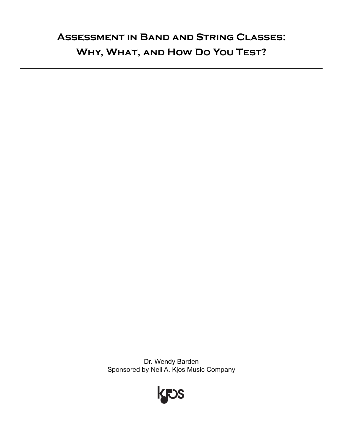# **Assessment in Band and String Classes: Why, What, and How Do You Test?**

Dr. Wendy Barden Sponsored by Neil A. Kjos Music Company

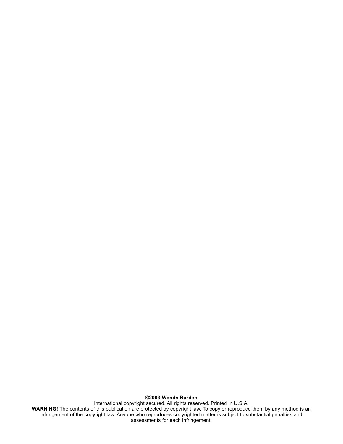**©2003 Wendy Barden**

International copyright secured. All rights reserved. Printed in U.S.A. **WARNING!** The contents of this publication are protected by copyright law. To copy or reproduce them by any method is an infringement of the copyright law. Anyone who reproduces copyrighted matter is subject to substantial penalties and assessments for each infringement.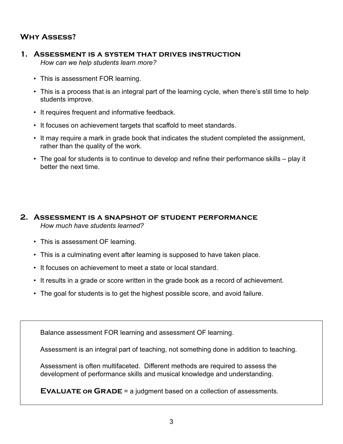#### **Why Assess?**

- **1. Assessment is a system that drives instruction** *How can we help students learn more?*
	- This is assessment FOR learning.
	- This is a process that is an integral part of the learning cycle, when there's still time to help students improve.
	- It requires frequent and informative feedback.
	- It focuses on achievement targets that scaffold to meet standards.
	- It may require a mark in grade book that indicates the student completed the assignment, rather than the quality of the work.
	- The goal for students is to continue to develop and refine their performance skills play it better the next time.

#### **2. Assessment is a snapshot of student performance** *How much have students learned?*

- This is assessment OF learning.
- This is a culminating event after learning is supposed to have taken place.
- It focuses on achievement to meet a state or local standard.
- It results in a grade or score written in the grade book as a record of achievement.
- The goal for students is to get the highest possible score, and avoid failure.

Balance assessment FOR learning and assessment OF learning.

Assessment is an integral part of teaching, not something done in addition to teaching.

Assessment is often multifaceted. Different methods are required to assess the development of performance skills and musical knowledge and understanding.

**EVALUATE OR GRADE** = a judgment based on a collection of assessments.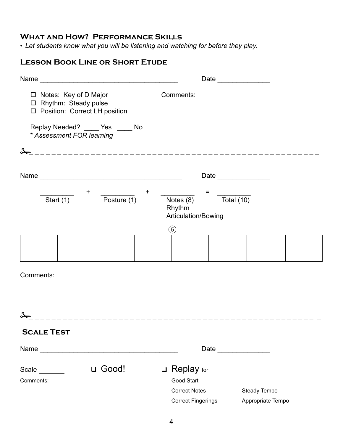### **What and How? Performance Skills**

*• Let students know what you will be listening and watching for before they play.*

#### **Lesson Book Line or Short Etude**

|                                                                                      | Date                                                                                                                      |
|--------------------------------------------------------------------------------------|---------------------------------------------------------------------------------------------------------------------------|
| □ Notes: Key of D Major<br>□ Rhythm: Steady pulse<br>□ Position: Correct LH position | Comments:                                                                                                                 |
| Replay Needed? ____ Yes ____ No<br>* Assessment FOR learning                         |                                                                                                                           |
|                                                                                      |                                                                                                                           |
|                                                                                      |                                                                                                                           |
| $\ddot{}$<br>+<br>Start $(1)$<br>Posture (1)                                         | $=$<br>Total $(10)$<br>Notes (8)<br>Rhythm<br>Articulation/Bowing                                                         |
|                                                                                      | $\circledS$                                                                                                               |
|                                                                                      |                                                                                                                           |
| Comments:                                                                            |                                                                                                                           |
|                                                                                      |                                                                                                                           |
| L<br>--------------------------------                                                |                                                                                                                           |
| <b>SCALE TEST</b>                                                                    |                                                                                                                           |
|                                                                                      |                                                                                                                           |
| □ Good!<br>Scale ______<br>Comments:                                                 | $\Box$ Replay for<br>Good Start<br><b>Correct Notes</b><br>Steady Tempo<br><b>Correct Fingerings</b><br>Appropriate Tempo |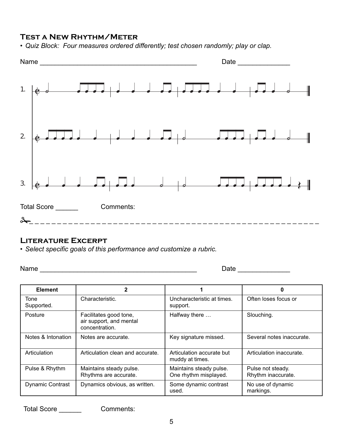#### **Test a New Rhythm/Meter**

*• Quiz Block: Four measures ordered differently; test chosen randomly; play or clap.*



#### **Literature Excerpt**

*• Select specific goals of this performance and customize a rubric.*

Name \_\_\_\_\_\_\_\_\_\_\_\_\_\_\_\_\_\_\_\_\_\_\_\_\_\_\_\_\_\_\_\_\_\_\_\_\_\_\_\_\_\_ Date \_\_\_\_\_\_\_\_\_\_\_\_\_\_

| <b>Element</b>          | 2                                                                   |                                                  | 0                                       |
|-------------------------|---------------------------------------------------------------------|--------------------------------------------------|-----------------------------------------|
| Tone<br>Supported.      | Characteristic.                                                     | Uncharacteristic at times.<br>support.           | Often loses focus or                    |
| Posture                 | Facilitates good tone,<br>air support, and mental<br>concentration. | Halfway there                                    | Slouching.                              |
| Notes & Intonation      | Notes are accurate.                                                 | Key signature missed.                            | Several notes inaccurate.               |
| Articulation            | Articulation clean and accurate.                                    | Articulation accurate but<br>muddy at times.     | Articulation inaccurate.                |
| Pulse & Rhythm          | Maintains steady pulse.<br>Rhythms are accurate.                    | Maintains steady pulse.<br>One rhythm misplayed. | Pulse not steady.<br>Rhythm inaccurate. |
| <b>Dynamic Contrast</b> | Dynamics obvious, as written.                                       | Some dynamic contrast<br>used.                   | No use of dynamic<br>markings.          |

Total Score \_\_\_\_\_\_ Comments: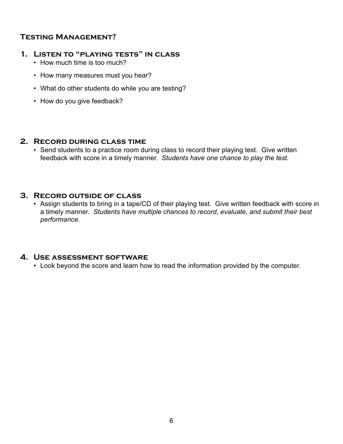#### **Testing Management?**

#### **1. Listen to "playing tests" in class**

- How much time is too much?
- How many measures must you hear?
- What do other students do while you are testing?
- How do you give feedback?

#### **2. Record during class time**

• Send students to a practice room during class to record their playing test. Give written feedback with score in a timely manner. *Students have one chance to play the test.*

#### **3. Record outside of class**

• Assign students to bring in a tape/CD of their playing test. Give written feedback with score in a timely manner. *Students have multiple chances to record, evaluate, and submit their best performance.*

#### **4. Use assessment software**

• Look beyond the score and learn how to read the information provided by the computer.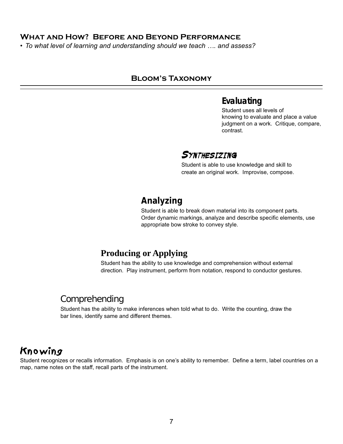#### **What and How? Before and Beyond Performance**

*• To what level of learning and understanding should we teach …. and assess?*

#### **Bloom's Taxonomy**

## **Evaluating**

Student uses all levels of knowing to evaluate and place a value judgment on a work. Critique, compare, contrast.

## **SYNTHESIZING**

Student is able to use knowledge and skill to create an original work. Improvise, compose.

## **Analyzing**

Student is able to break down material into its component parts. Order dynamic markings, analyze and describe specific elements, use appropriate bow stroke to convey style.

## **Producing or Applying**

Student has the ability to use knowledge and comprehension without external direction. Play instrument, perform from notation, respond to conductor gestures.

## Comprehending

Student has the ability to make inferences when told what to do. Write the counting, draw the bar lines, identify same and different themes.

# Knowing

Student recognizes or recalls information. Emphasis is on one's ability to remember. Define a term, label countries on a map, name notes on the staff, recall parts of the instrument.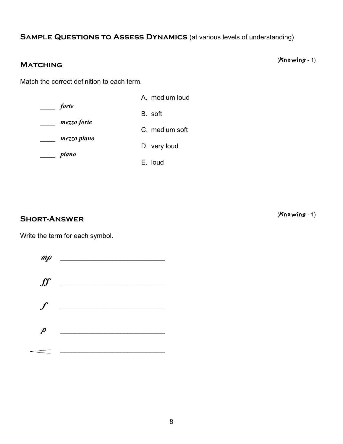#### **SAMPLE QUESTIONS TO ASSESS DYNAMICS** (at various levels of understanding)

# (Knowing - 1) **Matching**

Match the correct definition to each term.

A. medium loud \_\_\_\_ *forte* B. soft \_\_\_\_ *mezzo forte* C. medium soft \_\_\_\_ *mezzo piano* D. very loud \_\_\_\_ *piano* E. loud

(Knowing - 1) **Short-Answer**

Write the term for each symbol.

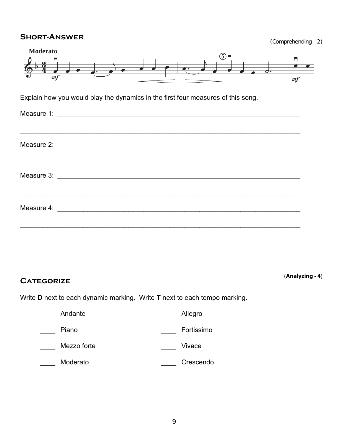#### **SHORT-ANSWER**

| (Comprehending - 2) |  |
|---------------------|--|
|                     |  |



# (**Analyzing - 4**) **Categorize**

Write **D** next to each dynamic marking. Write **T** next to each tempo marking.

| Andante     | Allegro    |
|-------------|------------|
| Piano       | Fortissimo |
| Mezzo forte | Vivace     |
| Moderato    | Crescendo  |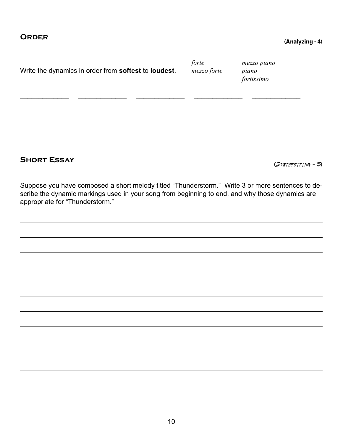| Write the dynamics in order from softest to loudest. | forte<br>mezzo forte | mezzo piano<br>piano<br>fortissimo |
|------------------------------------------------------|----------------------|------------------------------------|
|                                                      |                      |                                    |

# **Short Essay (**Synthesizing - 5**)**

Suppose you have composed a short melody titled "Thunderstorm." Write 3 or more sentences to describe the dynamic markings used in your song from beginning to end, and why those dynamics are appropriate for "Thunderstorm."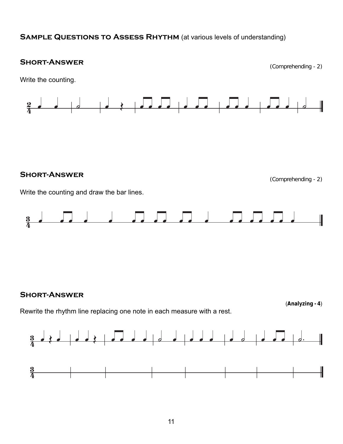#### **SAMPLE QUESTIONS TO ASSESS RHYTHM** (at various levels of understanding)

# **SHORT-ANSWER** (Comprehending - 2)





# **SHORT-ANSWER** (Comprehending - 2)

Write the counting and draw the bar lines.



#### **Short-Answer**

Rewrite the rhythm line replacing one note in each measure with a rest.



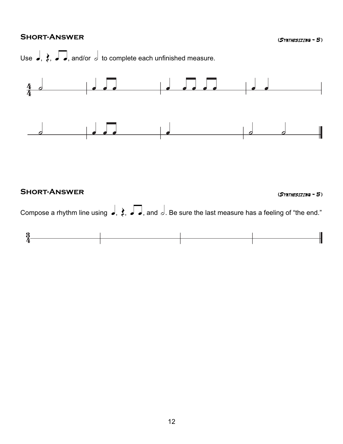## **Short-Answer (**Synthesizing - 5 **)**



## l la constantia de la constantia de la constantia de la constantia de la constantia de la constantia de la con<br>La constantia de la constantia de la constantia de la constantia de la constantia de la constantia de la const  $\frac{3}{4}$  $\frac{3}{4}$ **Short-Answer (**Synthesizing - 5 **)** Compose a rhythm line using  $\rightarrow$ ,  $\uparrow$ ,  $\rightarrow$  $\Box$ , and  $\Box$ . Be sure the last measure has a feeling of "the end."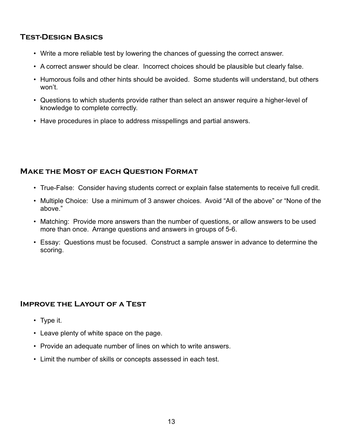#### **Test-Design Basics**

- Write a more reliable test by lowering the chances of guessing the correct answer.
- A correct answer should be clear. Incorrect choices should be plausible but clearly false.
- Humorous foils and other hints should be avoided. Some students will understand, but others won't.
- Questions to which students provide rather than select an answer require a higher-level of knowledge to complete correctly.
- Have procedures in place to address misspellings and partial answers.

#### **Make the Most of each Question Format**

- True-False: Consider having students correct or explain false statements to receive full credit.
- Multiple Choice: Use a minimum of 3 answer choices. Avoid "All of the above" or "None of the above."
- Matching: Provide more answers than the number of questions, or allow answers to be used more than once. Arrange questions and answers in groups of 5-6.
- Essay: Questions must be focused. Construct a sample answer in advance to determine the scoring.

#### **Improve the Layout of a Test**

- Type it.
- Leave plenty of white space on the page.
- Provide an adequate number of lines on which to write answers.
- Limit the number of skills or concepts assessed in each test.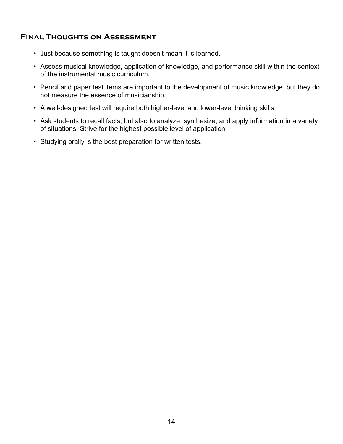### **Final Thoughts on Assessment**

- Just because something is taught doesn't mean it is learned.
- Assess musical knowledge, application of knowledge, and performance skill within the context of the instrumental music curriculum.
- Pencil and paper test items are important to the development of music knowledge, but they do not measure the essence of musicianship.
- A well-designed test will require both higher-level and lower-level thinking skills.
- Ask students to recall facts, but also to analyze, synthesize, and apply information in a variety of situations. Strive for the highest possible level of application.
- Studying orally is the best preparation for written tests.